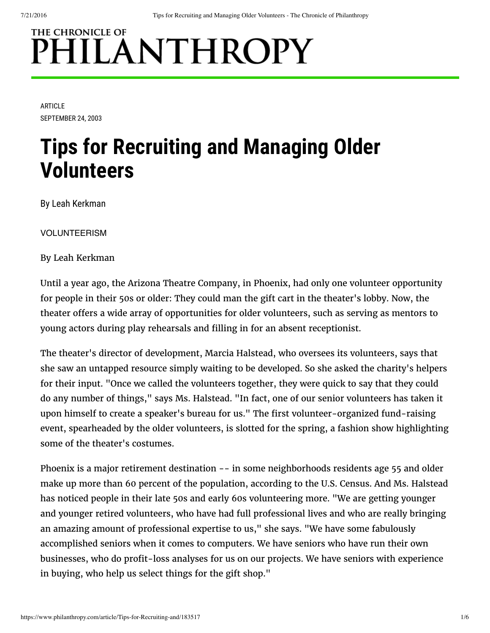# THE CHRONICLE OF PHILANTHROPY

ARTICLE SEPTEMBER 24, 2003

# **Tips for Recruiting and Managing Older Volunteers**

By Leah Kerkman

VOLUNTEERISM

By Leah Kerkman

Until a year ago, the Arizona Theatre Company, in Phoenix, had only one volunteer opportunity for people in their 50s or older: They could man the gift cart in the theater's lobby. Now, the theater offers a wide array of opportunities for older volunteers, such as serving as mentors to young actors during play rehearsals and filling in for an absent receptionist.

The theater's director of development, Marcia Halstead, who oversees its volunteers, says that she saw an untapped resource simply waiting to be developed. So she asked the charity's helpers for their input. "Once we called the volunteers together, they were quick to say that they could do any number of things," says Ms. Halstead. "In fact, one of our senior volunteers has taken it upon himself to create a speaker's bureau for us." The first volunteer-organized fund-raising event, spearheaded by the older volunteers, is slotted for the spring, a fashion show highlighting some of the theater's costumes.

Phoenix is a major retirement destination -- in some neighborhoods residents age 55 and older make up more than 60 percent of the population, according to the U.S. Census. And Ms. Halstead has noticed people in their late 50s and early 60s volunteering more. "We are getting younger and younger retired volunteers, who have had full professional lives and who are really bringing an amazing amount of professional expertise to us," she says. "We have some fabulously accomplished seniors when it comes to computers. We have seniors who have run their own businesses, who do profit-loss analyses for us on our projects. We have seniors with experience in buying, who help us select things for the gift shop."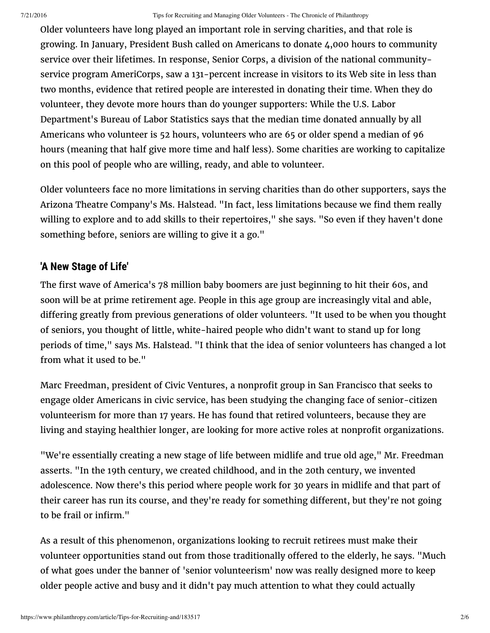Older volunteers have long played an important role in serving charities, and that role is growing. In January, President Bush called on Americans to donate 4,000 hours to community service over their lifetimes. In response, Senior Corps, a division of the national communityservice program AmeriCorps, saw a 131-percent increase in visitors to its Web site in less than two months, evidence that retired people are interested in donating their time. When they do volunteer, they devote more hours than do younger supporters: While the U.S. Labor Department's Bureau of Labor Statistics says that the median time donated annually by all Americans who volunteer is 52 hours, volunteers who are 65 or older spend a median of 96 hours (meaning that half give more time and half less). Some charities are working to capitalize on this pool of people who are willing, ready, and able to volunteer.

Older volunteers face no more limitations in serving charities than do other supporters, says the Arizona Theatre Company's Ms. Halstead. "In fact, less limitations because we find them really willing to explore and to add skills to their repertoires," she says. "So even if they haven't done something before, seniors are willing to give it a go."

## **'A New Stage of Life'**

The first wave of America's 78 million baby boomers are just beginning to hit their 60s, and soon will be at prime retirement age. People in this age group are increasingly vital and able, differing greatly from previous generations of older volunteers. "It used to be when you thought of seniors, you thought of little, white-haired people who didn't want to stand up for long periods of time," says Ms. Halstead. "I think that the idea of senior volunteers has changed a lot from what it used to be."

Marc Freedman, president of Civic Ventures, a nonprofit group in San Francisco that seeks to engage older Americans in civic service, has been studying the changing face of senior-citizen volunteerism for more than 17 years. He has found that retired volunteers, because they are living and staying healthier longer, are looking for more active roles at nonprofit organizations.

"We're essentially creating a new stage of life between midlife and true old age," Mr. Freedman asserts. "In the 19th century, we created childhood, and in the 20th century, we invented adolescence. Now there's this period where people work for 30 years in midlife and that part of their career has run its course, and they're ready for something different, but they're not going to be frail or infirm."

As a result of this phenomenon, organizations looking to recruit retirees must make their volunteer opportunities stand out from those traditionally offered to the elderly, he says. "Much of what goes under the banner of 'senior volunteerism' now was really designed more to keep older people active and busy and it didn't pay much attention to what they could actually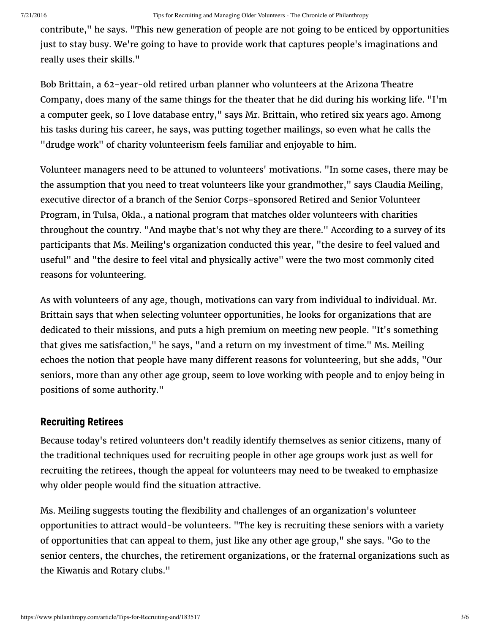contribute," he says. "This new generation of people are not going to be enticed by opportunities just to stay busy. We're going to have to provide work that captures people's imaginations and really uses their skills."

Bob Brittain, a 62-year-old retired urban planner who volunteers at the Arizona Theatre Company, does many of the same things for the theater that he did during his working life. "I'm a computer geek, so I love database entry," says Mr. Brittain, who retired six years ago. Among his tasks during his career, he says, was putting together mailings, so even what he calls the "drudge work" of charity volunteerism feels familiar and enjoyable to him.

Volunteer managers need to be attuned to volunteers' motivations. "In some cases, there may be the assumption that you need to treat volunteers like your grandmother," says Claudia Meiling, executive director of a branch of the Senior Corps-sponsored Retired and Senior Volunteer Program, in Tulsa, Okla., a national program that matches older volunteers with charities throughout the country. "And maybe that's not why they are there." According to a survey of its participants that Ms. Meiling's organization conducted this year, "the desire to feel valued and useful" and "the desire to feel vital and physically active" were the two most commonly cited reasons for volunteering.

As with volunteers of any age, though, motivations can vary from individual to individual. Mr. Brittain says that when selecting volunteer opportunities, he looks for organizations that are dedicated to their missions, and puts a high premium on meeting new people. "It's something that gives me satisfaction," he says, "and a return on my investment of time." Ms. Meiling echoes the notion that people have many different reasons for volunteering, but she adds, "Our seniors, more than any other age group, seem to love working with people and to enjoy being in positions of some authority."

### **Recruiting Retirees**

Because today's retired volunteers don't readily identify themselves as senior citizens, many of the traditional techniques used for recruiting people in other age groups work just as well for recruiting the retirees, though the appeal for volunteers may need to be tweaked to emphasize why older people would find the situation attractive.

Ms. Meiling suggests touting the flexibility and challenges of an organization's volunteer opportunities to attract would-be volunteers. "The key is recruiting these seniors with a variety of opportunities that can appeal to them, just like any other age group," she says. "Go to the senior centers, the churches, the retirement organizations, or the fraternal organizations such as the Kiwanis and Rotary clubs."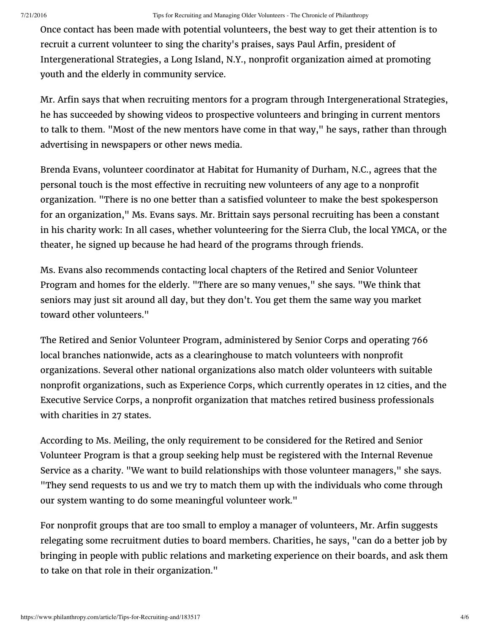Once contact has been made with potential volunteers, the best way to get their attention is to recruit a current volunteer to sing the charity's praises, says Paul Arfin, president of Intergenerational Strategies, a Long Island, N.Y., nonprofit organization aimed at promoting youth and the elderly in community service.

Mr. Arfin says that when recruiting mentors for a program through Intergenerational Strategies, he has succeeded by showing videos to prospective volunteers and bringing in current mentors to talk to them. "Most of the new mentors have come in that way," he says, rather than through advertising in newspapers or other news media.

Brenda Evans, volunteer coordinator at Habitat for Humanity of Durham, N.C., agrees that the personal touch is the most effective in recruiting new volunteers of any age to a nonprofit organization. "There is no one better than a satisfied volunteer to make the best spokesperson for an organization," Ms. Evans says. Mr. Brittain says personal recruiting has been a constant in his charity work: In all cases, whether volunteering for the Sierra Club, the local YMCA, or the theater, he signed up because he had heard of the programs through friends.

Ms. Evans also recommends contacting local chapters of the Retired and Senior Volunteer Program and homes for the elderly. "There are so many venues," she says. "We think that seniors may just sit around all day, but they don't. You get them the same way you market toward other volunteers."

The Retired and Senior [Volunteer](http://www.seniorcorps.org/joining/rsvp) Program, administered by Senior Corps and operating 766 local branches nationwide, acts as a clearinghouse to match volunteers with nonprofit organizations. Several other national organizations also match older volunteers with suitable nonprofit [organizations,](http://www.escus.org/) such as [Experience](http://www.experiencecorps.org/) Corps, which currently operates in 12 cities, and the Executive Service Corps, a nonprofit organization that matches retired business professionals with charities in 27 states.

According to Ms. Meiling, the only requirement to be considered for the Retired and Senior Volunteer Program is that a group seeking help must be registered with the Internal Revenue Service as a charity. "We want to build relationships with those volunteer managers," she says. "They send requests to us and we try to match them up with the individuals who come through our system wanting to do some meaningful volunteer work."

For nonprofit groups that are too small to employ a manager of volunteers, Mr. Arfin suggests relegating some recruitment duties to board members. Charities, he says, "can do a better job by bringing in people with public relations and marketing experience on their boards, and ask them to take on that role in their organization."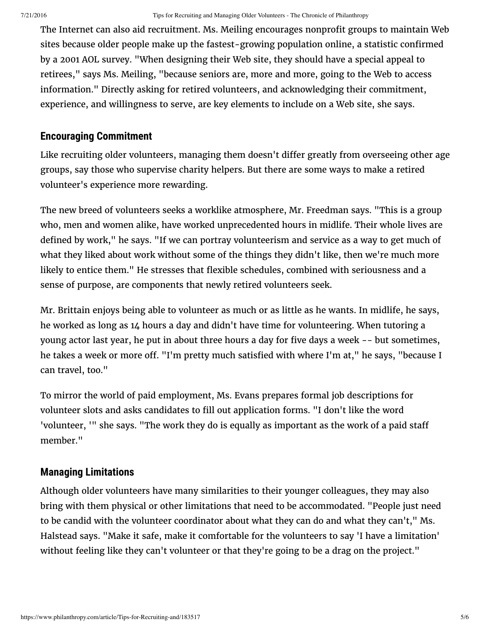The Internet can also aid recruitment. Ms. Meiling encourages nonprofit groups to maintain Web sites because older people make up the fastest-growing population online, a statistic confirmed by a 2001 AOL survey. "When designing their Web site, they should have a special appeal to retirees," says Ms. Meiling, "because seniors are, more and more, going to the Web to access information." Directly asking for retired volunteers, and acknowledging their commitment, experience, and willingness to serve, are key elements to include on a Web site, she says.

#### **Encouraging Commitment**

Like recruiting older volunteers, managing them doesn't differ greatly from overseeing other age groups, say those who supervise charity helpers. But there are some ways to make a retired volunteer's experience more rewarding.

The new breed of volunteers seeks a worklike atmosphere, Mr. Freedman says. "This is a group who, men and women alike, have worked unprecedented hours in midlife. Their whole lives are defined by work," he says. "If we can portray volunteerism and service as a way to get much of what they liked about work without some of the things they didn't like, then we're much more likely to entice them." He stresses that flexible schedules, combined with seriousness and a sense of purpose, are components that newly retired volunteers seek.

Mr. Brittain enjoys being able to volunteer as much or as little as he wants. In midlife, he says, he worked as long as 14 hours a day and didn't have time for volunteering. When tutoring a young actor last year, he put in about three hours a day for five days a week -- but sometimes, he takes a week or more off. "I'm pretty much satisfied with where I'm at," he says, "because I can travel, too."

To mirror the world of paid employment, Ms. Evans prepares formal job descriptions for volunteer slots and asks candidates to fill out application forms. "I don't like the word 'volunteer, '" she says. "The work they do is equally as important as the work of a paid sta member."

### **Managing Limitations**

Although older volunteers have many similarities to their younger colleagues, they may also bring with them physical or other limitations that need to be accommodated. "People just need to be candid with the volunteer coordinator about what they can do and what they can't," Ms. Halstead says. "Make it safe, make it comfortable for the volunteers to say 'I have a limitation' without feeling like they can't volunteer or that they're going to be a drag on the project."